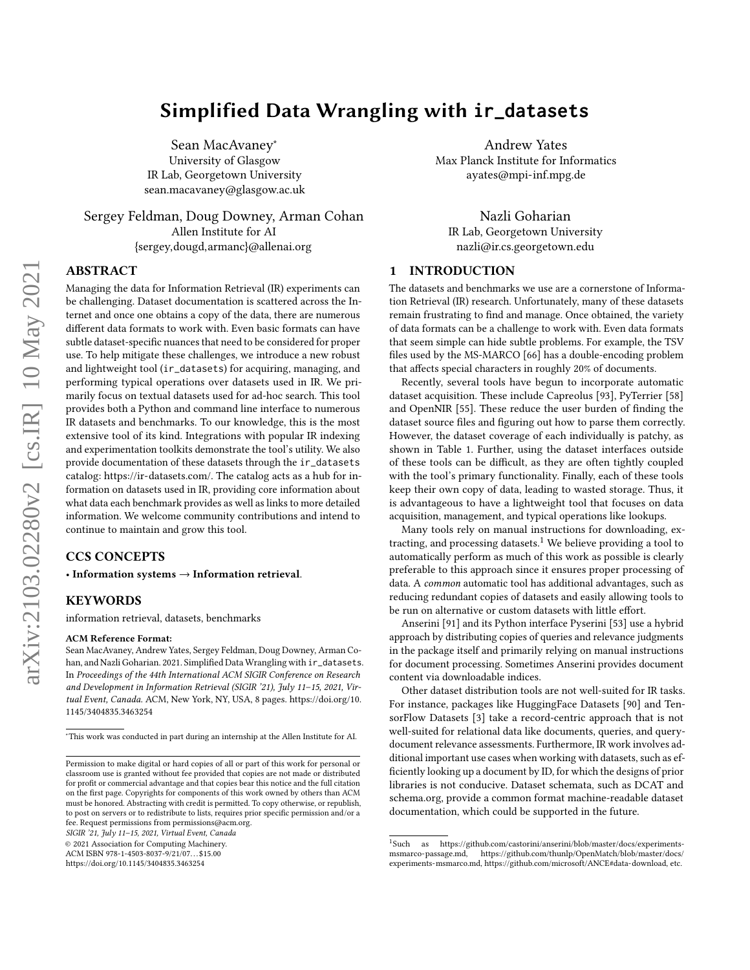# Simplified Data Wrangling with **ir\_datasets**

Sean MacAvaney<sup>∗</sup> University of Glasgow IR Lab, Georgetown University sean.macavaney@glasgow.ac.uk

Sergey Feldman, Doug Downey, Arman Cohan Allen Institute for AI {sergey,dougd,armanc}@allenai.org

# ABSTRACT

Managing the data for Information Retrieval (IR) experiments can be challenging. Dataset documentation is scattered across the Internet and once one obtains a copy of the data, there are numerous different data formats to work with. Even basic formats can have subtle dataset-specific nuances that need to be considered for proper use. To help mitigate these challenges, we introduce a new robust and lightweight tool (ir\_datasets) for acquiring, managing, and performing typical operations over datasets used in IR. We primarily focus on textual datasets used for ad-hoc search. This tool provides both a Python and command line interface to numerous IR datasets and benchmarks. To our knowledge, this is the most extensive tool of its kind. Integrations with popular IR indexing and experimentation toolkits demonstrate the tool's utility. We also provide documentation of these datasets through the ir\_datasets catalog: [https://ir-datasets.com/.](https://ir-datasets.com/) The catalog acts as a hub for information on datasets used in IR, providing core information about what data each benchmark provides as well as links to more detailed information. We welcome community contributions and intend to continue to maintain and grow this tool.

## CCS CONCEPTS

• Information systems  $\rightarrow$  Information retrieval.

### KEYWORDS

information retrieval, datasets, benchmarks

#### ACM Reference Format:

Sean MacAvaney, Andrew Yates, Sergey Feldman, Doug Downey, Arman Cohan, and Nazli Goharian. 2021. Simplified Data Wrangling with ir\_datasets. In Proceedings of the 44th International ACM SIGIR Conference on Research and Development in Information Retrieval (SIGIR '21), July 11–15, 2021, Virtual Event, Canada. ACM, New York, NY, USA, [8](#page-7-0) pages. [https://doi.org/10.](https://doi.org/10.1145/3404835.3463254) [1145/3404835.3463254](https://doi.org/10.1145/3404835.3463254)

SIGIR '21, July 11–15, 2021, Virtual Event, Canada

© 2021 Association for Computing Machinery.

ACM ISBN 978-1-4503-8037-9/21/07. . . \$15.00

<https://doi.org/10.1145/3404835.3463254>

Andrew Yates Max Planck Institute for Informatics ayates@mpi-inf.mpg.de

Nazli Goharian IR Lab, Georgetown University nazli@ir.cs.georgetown.edu

# 1 INTRODUCTION

The datasets and benchmarks we use are a cornerstone of Information Retrieval (IR) research. Unfortunately, many of these datasets remain frustrating to find and manage. Once obtained, the variety of data formats can be a challenge to work with. Even data formats that seem simple can hide subtle problems. For example, the TSV files used by the MS-MARCO [\[66\]](#page-7-1) has a double-encoding problem that affects special characters in roughly 20% of documents.

Recently, several tools have begun to incorporate automatic dataset acquisition. These include Capreolus [\[93\]](#page-7-2), PyTerrier [\[58\]](#page-6-0) and OpenNIR [\[55\]](#page-6-1). These reduce the user burden of finding the dataset source files and figuring out how to parse them correctly. However, the dataset coverage of each individually is patchy, as shown in Table [1.](#page-1-0) Further, using the dataset interfaces outside of these tools can be difficult, as they are often tightly coupled with the tool's primary functionality. Finally, each of these tools keep their own copy of data, leading to wasted storage. Thus, it is advantageous to have a lightweight tool that focuses on data acquisition, management, and typical operations like lookups.

Many tools rely on manual instructions for downloading, ex-tracting, and processing datasets.<sup>[1](#page-0-0)</sup> We believe providing a tool to automatically perform as much of this work as possible is clearly preferable to this approach since it ensures proper processing of data. A common automatic tool has additional advantages, such as reducing redundant copies of datasets and easily allowing tools to be run on alternative or custom datasets with little effort.

Anserini [\[91\]](#page-7-3) and its Python interface Pyserini [\[53\]](#page-6-2) use a hybrid approach by distributing copies of queries and relevance judgments in the package itself and primarily relying on manual instructions for document processing. Sometimes Anserini provides document content via downloadable indices.

Other dataset distribution tools are not well-suited for IR tasks. For instance, packages like HuggingFace Datasets [\[90\]](#page-7-4) and TensorFlow Datasets [\[3\]](#page-6-3) take a record-centric approach that is not well-suited for relational data like documents, queries, and querydocument relevance assessments. Furthermore, IR work involves additional important use cases when working with datasets, such as efficiently looking up a document by ID, for which the designs of prior libraries is not conducive. Dataset schemata, such as DCAT and schema.org, provide a common format machine-readable dataset documentation, which could be supported in the future.

<sup>∗</sup>This work was conducted in part during an internship at the Allen Institute for AI.

Permission to make digital or hard copies of all or part of this work for personal or classroom use is granted without fee provided that copies are not made or distributed for profit or commercial advantage and that copies bear this notice and the full citation on the first page. Copyrights for components of this work owned by others than ACM must be honored. Abstracting with credit is permitted. To copy otherwise, or republish, to post on servers or to redistribute to lists, requires prior specific permission and/or a fee. Request permissions from permissions@acm.org.

<span id="page-0-0"></span><sup>1</sup> Such as [https://github.com/castorini/anserini/blob/master/docs/experiments](https://github.com/castorini/anserini/blob/master/docs/experiments-msmarco-passage.md)[msmarco-passage.md,](https://github.com/castorini/anserini/blob/master/docs/experiments-msmarco-passage.md) [https://github.com/thunlp/OpenMatch/blob/master/docs/](https://github.com/thunlp/OpenMatch/blob/master/docs/experiments-msmarco.md) [experiments-msmarco.md,](https://github.com/thunlp/OpenMatch/blob/master/docs/experiments-msmarco.md) [https://github.com/microsoft/ANCE#data-download,](https://github.com/microsoft/ANCE#data-download) etc.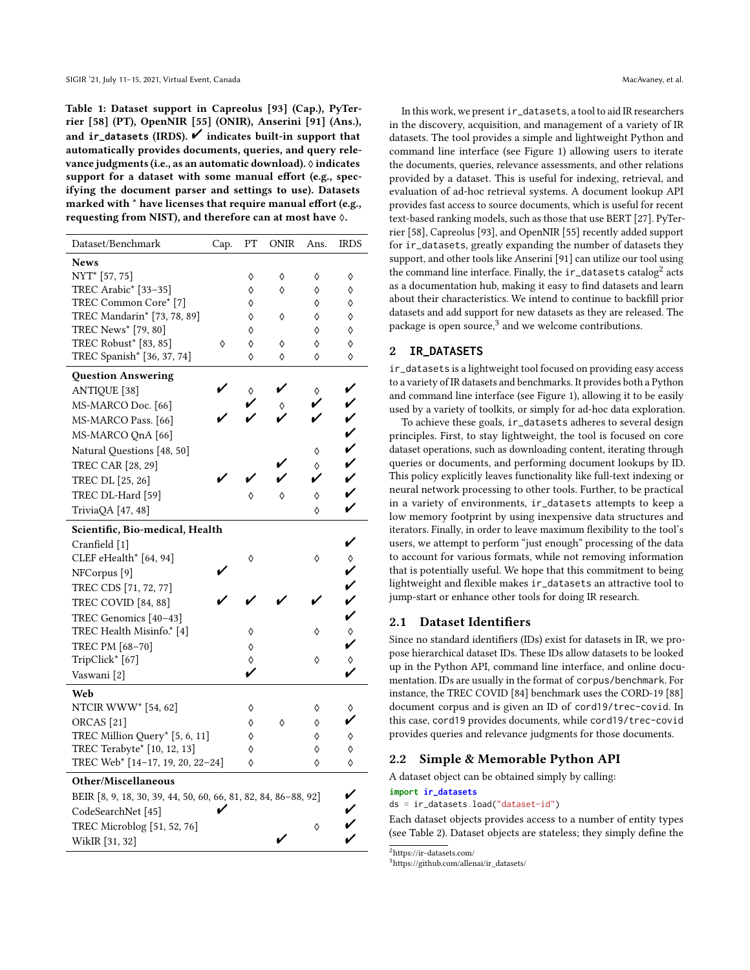<span id="page-1-0"></span>Table 1: Dataset support in Capreolus [\[93\]](#page-7-2) (Cap.), PyTerrier [\[58\]](#page-6-0) (PT), OpenNIR [\[55\]](#page-6-1) (ONIR), Anserini [\[91\]](#page-7-3) (Ans.), and  $ir\_datasets$  (IRDS).  $\checkmark$  indicates built-in support that automatically provides documents, queries, and query relevance judgments (i.e., as an automatic download). ♢ indicates support for a dataset with some manual effort (e.g., specifying the document parser and settings to use). Datasets marked with \* have licenses that require manual effort (e.g., requesting from NIST), and therefore can at most have ♢.

| Dataset/Benchmark                                              | Cap. | PТ         | <b>ONIR</b> | Ans. | <b>IRDS</b>                      |
|----------------------------------------------------------------|------|------------|-------------|------|----------------------------------|
| <b>News</b>                                                    |      |            |             |      |                                  |
| NYT* [57, 75]                                                  |      | ♦          | ♦           | ♦    | ♦                                |
| TREC Arabic* [33-35]                                           |      | ♦          | ♦           | ♦    | ♦                                |
| TREC Common Core* [7]                                          |      | ♦          |             | ♦    | ♦                                |
| TREC Mandarin* [73, 78, 89]                                    |      | ♦          | ♦           | ♦    | ♦                                |
| <b>TREC News*</b> [79, 80]                                     |      | ♦          |             | ♦    | ♦                                |
| TREC Robust* [83, 85]                                          | ♦    | ♦          | ♦           | ♦    | ♦                                |
| TREC Spanish* [36, 37, 74]                                     |      | ♦          | ♦           | ♦    | ♦                                |
| <b>Question Answering</b>                                      |      |            |             |      |                                  |
| <b>ANTIQUE</b> [38]                                            |      |            |             |      |                                  |
| MS-MARCO Doc. [66]                                             |      |            |             |      |                                  |
| MS-MARCO Pass. [66]                                            |      |            |             |      |                                  |
| MS-MARCO QnA [66]                                              |      |            |             |      | くくくくく                            |
| Natural Questions [48, 50]                                     |      |            |             | ♦    |                                  |
| TREC CAR [28, 29]                                              |      |            |             |      |                                  |
| TREC DL [25, 26]                                               |      |            |             |      |                                  |
| TREC DL-Hard [59]                                              |      | ♦          | ♦           | ♦    |                                  |
| TriviaQA [47, 48]                                              |      |            |             | ♦    |                                  |
|                                                                |      |            |             |      |                                  |
| Scientific, Bio-medical, Health                                |      |            |             |      |                                  |
| Cranfield [1]                                                  |      |            |             |      |                                  |
| CLEF eHealth* [64, 94]                                         |      | ♦          |             | ♦    |                                  |
| NFCorpus [9]                                                   |      |            |             |      | くくくく                             |
| TREC CDS [71, 72, 77]                                          |      |            |             |      |                                  |
| TREC COVID [84, 88]                                            |      |            |             |      |                                  |
| TREC Genomics [40-43]                                          |      |            |             |      |                                  |
| TREC Health Misinfo.* [4]                                      |      | ♦          |             | ♦    | $\overset{\diamond}{\checkmark}$ |
| TREC PM [68-70]                                                |      | ♦          |             |      |                                  |
| TripClick* [67]                                                |      | $\Diamond$ |             | ♦    | $\mathcal{S}$                    |
| Vaswani [2]                                                    |      |            |             |      |                                  |
| Web                                                            |      |            |             |      |                                  |
| NTCIR WWW* [54, 62]                                            |      | ♦          |             | ♦    | ♦                                |
| ORCAS <sup>[21]</sup>                                          |      | ♦          | ♦           | ♦    |                                  |
| TREC Million Query* [5, 6, 11]                                 |      | ♦          |             | ♦    | ♦                                |
| TREC Terabyte* [10, 12, 13]                                    |      | ♦          |             | ♦    | ♦                                |
| TREC Web* [14-17, 19, 20, 22-24]                               |      | ♦          |             | ♦    | ♦                                |
| Other/Miscellaneous                                            |      |            |             |      |                                  |
| BEIR [8, 9, 18, 30, 39, 44, 50, 60, 66, 81, 82, 84, 86-88, 92] |      |            |             |      |                                  |
| CodeSearchNet [45]                                             |      |            |             |      |                                  |
| TREC Microblog [51, 52, 76]                                    |      |            |             |      |                                  |
|                                                                |      |            |             | ♦    |                                  |
| WikIR [31, 32]                                                 |      |            |             |      |                                  |

In this work, we present ir\_datasets, a tool to aid IR researchers in the discovery, acquisition, and management of a variety of IR datasets. The tool provides a simple and lightweight Python and command line interface (see Figure [1\)](#page-2-0) allowing users to iterate the documents, queries, relevance assessments, and other relations provided by a dataset. This is useful for indexing, retrieval, and evaluation of ad-hoc retrieval systems. A document lookup API provides fast access to source documents, which is useful for recent text-based ranking models, such as those that use BERT [\[27\]](#page-6-50). PyTerrier [\[58\]](#page-6-0), Capreolus [\[93\]](#page-7-2), and OpenNIR [\[55\]](#page-6-1) recently added support for ir\_datasets, greatly expanding the number of datasets they support, and other tools like Anserini [\[91\]](#page-7-3) can utilize our tool using the command line interface. Finally, the  ${\tt ir\_datasets}$  catalog $^2$  $^2$  acts as a documentation hub, making it easy to find datasets and learn about their characteristics. We intend to continue to backfill prior datasets and add support for new datasets as they are released. The package is open source, $^3$  $^3$  and we welcome contributions.

# 2 **IR\_DATASETS**

ir\_datasets is a lightweight tool focused on providing easy access to a variety of IR datasets and benchmarks. It provides both a Python and command line interface (see Figure [1\)](#page-2-0), allowing it to be easily used by a variety of toolkits, or simply for ad-hoc data exploration.

To achieve these goals, ir\_datasets adheres to several design principles. First, to stay lightweight, the tool is focused on core dataset operations, such as downloading content, iterating through queries or documents, and performing document lookups by ID. This policy explicitly leaves functionality like full-text indexing or neural network processing to other tools. Further, to be practical in a variety of environments, ir\_datasets attempts to keep a low memory footprint by using inexpensive data structures and iterators. Finally, in order to leave maximum flexibility to the tool's users, we attempt to perform "just enough" processing of the data to account for various formats, while not removing information that is potentially useful. We hope that this commitment to being lightweight and flexible makes ir\_datasets an attractive tool to jump-start or enhance other tools for doing IR research.

### 2.1 Dataset Identifiers

Since no standard identifiers (IDs) exist for datasets in IR, we propose hierarchical dataset IDs. These IDs allow datasets to be looked up in the Python API, command line interface, and online documentation. IDs are usually in the format of corpus/benchmark. For instance, the TREC COVID [\[84\]](#page-7-19) benchmark uses the CORD-19 [\[88\]](#page-7-20) document corpus and is given an ID of cord19/trec-covid. In this case, cord19 provides documents, while cord19/trec-covid provides queries and relevance judgments for those documents.

# 2.2 Simple & Memorable Python API

A dataset object can be obtained simply by calling:

# **import ir\_datasets**

ds = ir\_datasets.load("dataset-id")

Each dataset objects provides access to a number of entity types (see Table [2\)](#page-2-1). Dataset objects are stateless; they simply define the

<span id="page-1-1"></span> $^2$ <https://ir-datasets.com/>

<span id="page-1-2"></span><sup>3</sup>[https://github.com/allenai/ir\\_datasets/](https://github.com/allenai/ir_datasets/)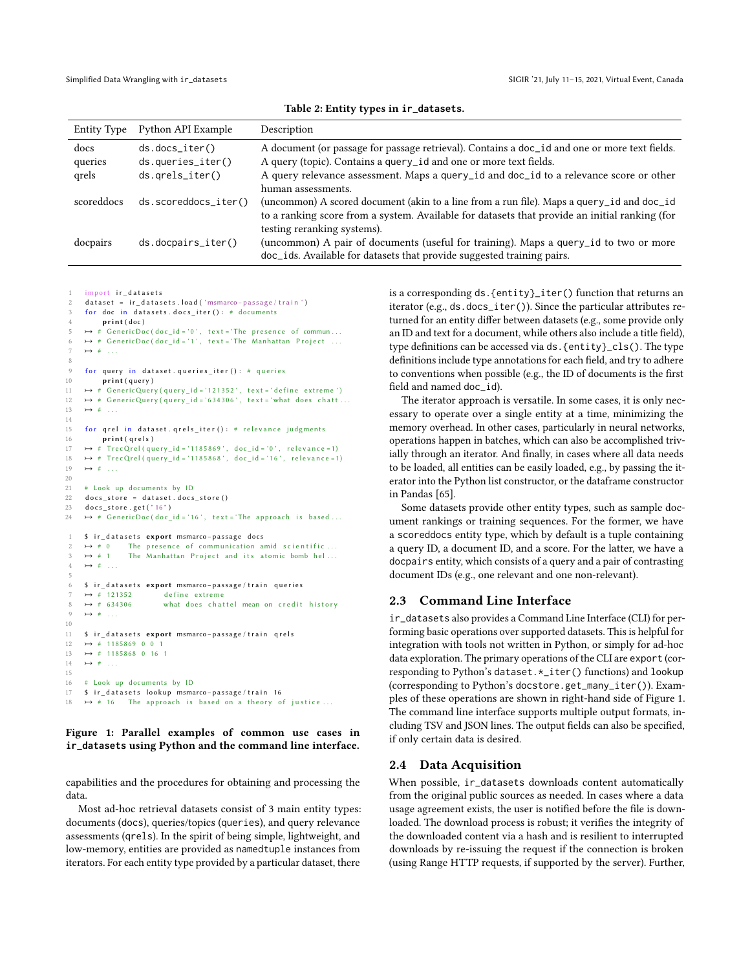<span id="page-2-1"></span>

| Entity Type     | Python API Example                     | Description                                                                                                                                                                                                               |
|-----------------|----------------------------------------|---------------------------------------------------------------------------------------------------------------------------------------------------------------------------------------------------------------------------|
| docs<br>queries | $ds.docs\_iter()$<br>ds.queries_iter() | A document (or passage for passage retrieval). Contains a doc_id and one or more text fields.<br>A query (topic). Contains a query_id and one or more text fields.                                                        |
| grels           | $ds.$ grels_iter()                     | A query relevance assessment. Maps a query id and doc id to a relevance score or other<br>human assessments.                                                                                                              |
| scoreddocs      | ds.scoreddocs_iter()                   | (uncommon) A scored document (akin to a line from a run file). Maps a query_id and doc_id<br>to a ranking score from a system. Available for datasets that provide an initial ranking (for<br>testing reranking systems). |
| docpairs        | $ds.docpairs\_iter()$                  | (uncommon) A pair of documents (useful for training). Maps a query_id to two or more<br>doc_ids. Available for datasets that provide suggested training pairs.                                                            |

Table 2: Entity types in **ir\_datasets**.

```
1 import ir_datasets
```

```
d a t a s e t = ir_d a t a s e t s . l o a d ( 'm s marco - p a s s a g e / t r a i n ')
     for doc in datasets. docs_iter(): # documents
          print(doc)\rightarrow # GenericDoc(doc_id='0', text='The presence of commun...
     \rightarrow # GenericDoc(doc_id = '1', text = 'The Manhattan Project ...
    \rightarrow # ...
 8
     for query in dataset. queries_iter(): # queries
10 print (query)
11 \rightarrow # Generic Query (query_id = '121352', text = 'define extreme')
12 \rightarrow 4 Generic Query (query_id = '634306', text = 'what does chatt ...
13 \rightarrow 22 # ...
14
15 for qrel in dataset. qrels_iter(): # relevance judgments
16 print (q rels)
17 \rightarrow # TrecQrel(query_id='1185869', doc_id='0', relevance=1)
18 \rightarrow # TrecQrel(query_id = '1185868', doc_id = '16', relevance = 1)
19 \rightarrow 22 + \ldots20
21 # Look up documents by ID
22 docs_store = dataset.docs_store()
23 docs_store.get ("16")<br>24 \rightarrow # GenericDoc (doc
     \rightarrow # GenericDoc(doc_id='16', text='The approach is based...
     $ ir_datasets export msmarco-passage docs
     \rightarrow # 0 The presence of communication amid scientific...
     \rightarrow # 1 The Manhattan Project and its atomic bomb hel...
     \leftrightarrow # ...
 5
     $ ir_datasets export msmarco-passage/train queries
     \rightarrow # 121352 define extreme<br>\rightarrow # 634306 what does chat
                           what does chattel mean on credit history
     \rightarrow # ...
10
11 $ ir_datasets export msmarco-passage/train qrels
12 \rightarrow 24 # 1185869 0 0 1
13 \rightarrow 24 1 1 8 5 8 6 8 0 1 6 1
14 \longrightarrow 4 \dots15
16 # Look up documents by ID
17 $ ir datasets lookup msmarco-passage/train 16
18 \rightarrow # 16 The approach is based on a theory of justice ...
```
### Figure 1: Parallel examples of common use cases in **ir\_datasets** using Python and the command line interface.

capabilities and the procedures for obtaining and processing the data.

Most ad-hoc retrieval datasets consist of 3 main entity types: documents (docs), queries/topics (queries), and query relevance assessments (qrels). In the spirit of being simple, lightweight, and low-memory, entities are provided as namedtuple instances from iterators. For each entity type provided by a particular dataset, there

is a corresponding ds.{entity}\_iter() function that returns an iterator (e.g., ds.docs\_iter()). Since the particular attributes returned for an entity differ between datasets (e.g., some provide only an ID and text for a document, while others also include a title field), type definitions can be accessed via ds.{entity}\_cls(). The type definitions include type annotations for each field, and try to adhere to conventions when possible (e.g., the ID of documents is the first field and named doc\_id).

The iterator approach is versatile. In some cases, it is only necessary to operate over a single entity at a time, minimizing the memory overhead. In other cases, particularly in neural networks, operations happen in batches, which can also be accomplished trivially through an iterator. And finally, in cases where all data needs to be loaded, all entities can be easily loaded, e.g., by passing the iterator into the Python list constructor, or the dataframe constructor in Pandas [\[65\]](#page-7-30).

Some datasets provide other entity types, such as sample document rankings or training sequences. For the former, we have a scoreddocs entity type, which by default is a tuple containing a query ID, a document ID, and a score. For the latter, we have a docpairs entity, which consists of a query and a pair of contrasting document IDs (e.g., one relevant and one non-relevant).

#### 2.3 Command Line Interface

ir\_datasets also provides a Command Line Interface (CLI) for performing basic operations over supported datasets. This is helpful for integration with tools not written in Python, or simply for ad-hoc data exploration. The primary operations of the CLI are export (corresponding to Python's dataset.\*\_iter() functions) and lookup (corresponding to Python's docstore.get\_many\_iter()). Examples of these operations are shown in right-hand side of Figure [1.](#page-2-0) The command line interface supports multiple output formats, including TSV and JSON lines. The output fields can also be specified, if only certain data is desired.

### 2.4 Data Acquisition

When possible, ir\_datasets downloads content automatically from the original public sources as needed. In cases where a data usage agreement exists, the user is notified before the file is downloaded. The download process is robust; it verifies the integrity of the downloaded content via a hash and is resilient to interrupted downloads by re-issuing the request if the connection is broken (using Range HTTP requests, if supported by the server). Further,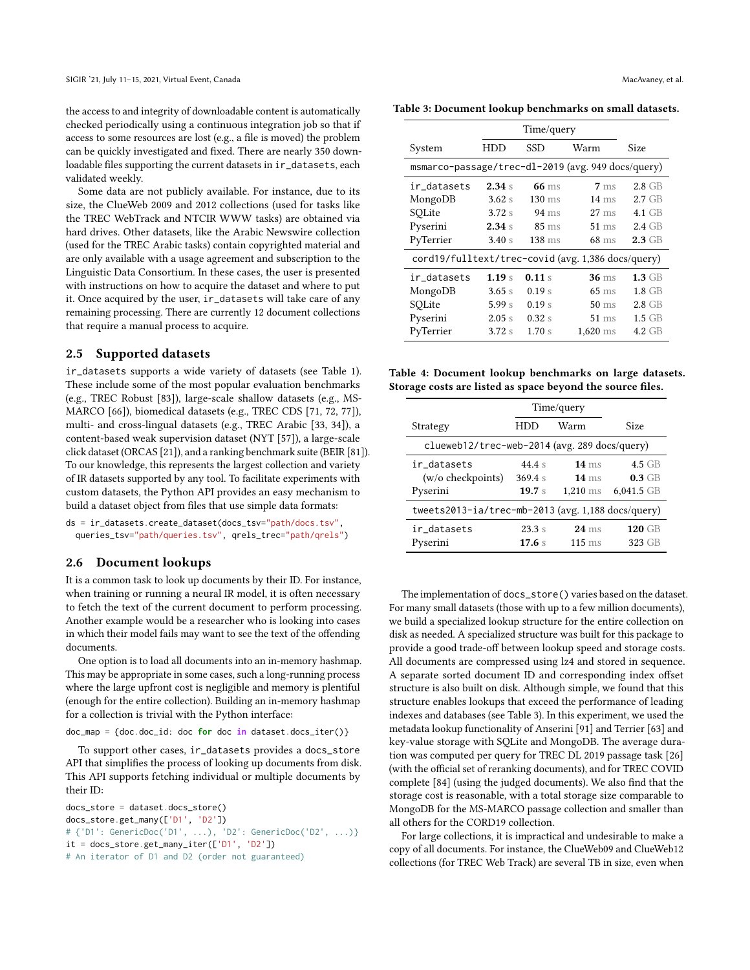the access to and integrity of downloadable content is automatically checked periodically using a continuous integration job so that if access to some resources are lost (e.g., a file is moved) the problem can be quickly investigated and fixed. There are nearly 350 downloadable files supporting the current datasets in ir\_datasets, each validated weekly.

Some data are not publicly available. For instance, due to its size, the ClueWeb 2009 and 2012 collections (used for tasks like the TREC WebTrack and NTCIR WWW tasks) are obtained via hard drives. Other datasets, like the Arabic Newswire collection (used for the TREC Arabic tasks) contain copyrighted material and are only available with a usage agreement and subscription to the Linguistic Data Consortium. In these cases, the user is presented with instructions on how to acquire the dataset and where to put it. Once acquired by the user, ir\_datasets will take care of any remaining processing. There are currently 12 document collections that require a manual process to acquire.

#### 2.5 Supported datasets

ir\_datasets supports a wide variety of datasets (see Table [1\)](#page-1-0). These include some of the most popular evaluation benchmarks (e.g., TREC Robust [\[83\]](#page-7-11)), large-scale shallow datasets (e.g., MS-MARCO [\[66\]](#page-7-1)), biomedical datasets (e.g., TREC CDS [\[71,](#page-7-16) [72,](#page-7-17) [77\]](#page-7-18)), multi- and cross-lingual datasets (e.g., TREC Arabic [\[33,](#page-6-5) [34\]](#page-6-51)), a content-based weak supervision dataset (NYT [\[57\]](#page-6-4)), a large-scale click dataset (ORCAS [\[21\]](#page-6-26)), and a ranking benchmark suite (BEIR [\[81\]](#page-7-25)). To our knowledge, this represents the largest collection and variety of IR datasets supported by any tool. To facilitate experiments with custom datasets, the Python API provides an easy mechanism to build a dataset object from files that use simple data formats:

ds = ir\_datasets.create\_dataset(docs\_tsv="path/docs.tsv", queries\_tsv="path/queries.tsv", qrels\_trec="path/qrels")

#### 2.6 Document lookups

It is a common task to look up documents by their ID. For instance, when training or running a neural IR model, it is often necessary to fetch the text of the current document to perform processing. Another example would be a researcher who is looking into cases in which their model fails may want to see the text of the offending documents.

One option is to load all documents into an in-memory hashmap. This may be appropriate in some cases, such a long-running process where the large upfront cost is negligible and memory is plentiful (enough for the entire collection). Building an in-memory hashmap for a collection is trivial with the Python interface:

doc\_map = {doc.doc\_id: doc **for** doc **in** dataset.docs\_iter()}

To support other cases, ir\_datasets provides a docs\_store API that simplifies the process of looking up documents from disk. This API supports fetching individual or multiple documents by their ID:

```
docs_store = dataset.docs_store()
docs_store.get_many(['D1', 'D2'])
# {'D1': GenericDoc('D1', ...), 'D2': GenericDoc('D2', ...)}
it = docs_store.get_many_iter(['D1', 'D2'])
# An iterator of D1 and D2 (order not guaranteed)
```
<span id="page-3-0"></span>Table 3: Document lookup benchmarks on small datasets.

|                                                    |                | Time/query       |                 |                  |
|----------------------------------------------------|----------------|------------------|-----------------|------------------|
| System                                             | HDD            | SSD              | Warm            | <b>Size</b>      |
| msmarco-passage/trec-dl-2019 (avg. 949 docs/query) |                |                  |                 |                  |
| ir datasets                                        | $2.34$ s       | $66 \text{ ms}$  | $7 \text{ ms}$  | $2.8$ GB         |
| MongoDB                                            | $3.62$ s       | $130 \text{ ms}$ | $14 \text{ ms}$ | $2.7$ GB         |
| SOLite                                             | $3.72$ s       | $94$ ms          | $27 \text{ ms}$ | 4.1 GB           |
| Pyserini                                           | $2.34~{\rm s}$ | $85 \text{ ms}$  | $51 \text{ ms}$ | $2.4\text{ G}B$  |
| PyTerrier                                          | 3.40 s         | $138 \text{ ms}$ | $68$ ms         | $2.3$ GB         |
| cord19/fulltext/trec-covid (avg. 1,386 docs/query) |                |                  |                 |                  |
| ir_datasets                                        | 1.19 s         | $0.11$ s         | $36 \text{ ms}$ | $1.3$ GB         |
| MongoDB                                            | $3.65$ s       | $0.19$ s         | $65 \text{ ms}$ | $1.8\text{ G}$ B |
| SQLite                                             | 5.99 $s$       | $0.19$ s         | $50 \text{ ms}$ | $2.8$ GB         |
| Pyserini                                           | $2.05$ s       | $0.32$ s         | $51 \text{ ms}$ | $1.5$ GB         |
| PyTerrier                                          | $3.72$ s       | 1.70 s           | $1,620$ ms      | $4.2 \text{ GB}$ |

<span id="page-3-1"></span>Table 4: Document lookup benchmarks on large datasets. Storage costs are listed as space beyond the source files.

|                                                                            | Time/query |                  |            |
|----------------------------------------------------------------------------|------------|------------------|------------|
| Strategy                                                                   | HDD        | Warm             | Size       |
| clueweb12/trec-web-2014 (avg. 289 $\frac{\text{docs/query}}{\text{query}}$ |            |                  |            |
| ir_datasets                                                                | $44.4$ s   | $14 \text{ ms}$  | $4.5$ GB   |
| (w/o checkpoints)                                                          | 369.4 s    | $14 \text{ ms}$  | $0.3$ GB   |
| Pyserini                                                                   | 19.7 s     | $1,210$ ms       | 6,041.5 GB |
| tweets2013-ia/trec-mb-2013 (avg. 1,188 docs/query)                         |            |                  |            |
| ir datasets                                                                | 23.3 s     | $24 \text{ ms}$  | $120$ GB   |
| Pyserini                                                                   | 17.6 s     | $115 \text{ ms}$ | 323 GB     |

The implementation of docs\_store() varies based on the dataset. For many small datasets (those with up to a few million documents), we build a specialized lookup structure for the entire collection on disk as needed. A specialized structure was built for this package to provide a good trade-off between lookup speed and storage costs. All documents are compressed using lz4 and stored in sequence. A separate sorted document ID and corresponding index offset structure is also built on disk. Although simple, we found that this structure enables lookups that exceed the performance of leading indexes and databases (see Table [3\)](#page-3-0). In this experiment, we used the metadata lookup functionality of Anserini [\[91\]](#page-7-3) and Terrier [\[63\]](#page-7-31) and key-value storage with SQLite and MongoDB. The average duration was computed per query for TREC DL 2019 passage task [\[26\]](#page-6-16) (with the official set of reranking documents), and for TREC COVID complete [\[84\]](#page-7-19) (using the judged documents). We also find that the storage cost is reasonable, with a total storage size comparable to MongoDB for the MS-MARCO passage collection and smaller than all others for the CORD19 collection.

For large collections, it is impractical and undesirable to make a copy of all documents. For instance, the ClueWeb09 and ClueWeb12 collections (for TREC Web Track) are several TB in size, even when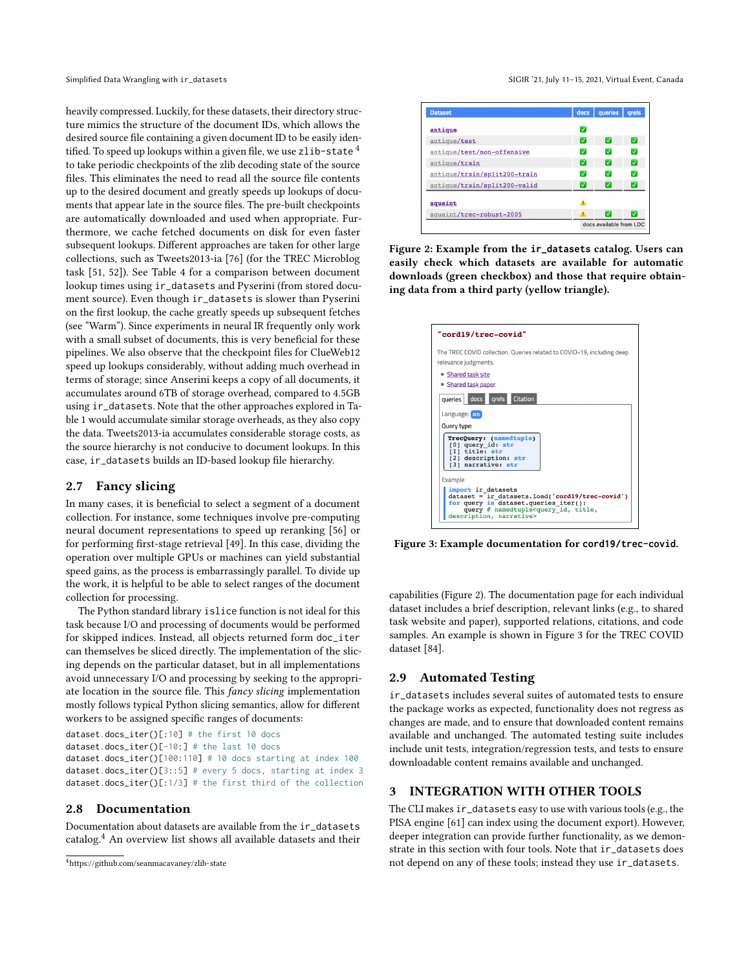heavily compressed. Luckily, for these datasets, their directory structure mimics the structure of the document IDs, which allows the desired source file containing a given document ID to be easily identified. To speed up lookups within a given file, we use  $zlib-state$ <sup>[4](#page-4-0)</sup> to take periodic checkpoints of the zlib decoding state of the source files. This eliminates the need to read all the source file contents up to the desired document and greatly speeds up lookups of documents that appear late in the source files. The pre-built checkpoints are automatically downloaded and used when appropriate. Furthermore, we cache fetched documents on disk for even faster subsequent lookups. Different approaches are taken for other large collections, such as Tweets2013-ia [\[76\]](#page-7-29) (for the TREC Microblog task [\[51,](#page-6-46) [52\]](#page-6-47)). See Table [4](#page-3-1) for a comparison between document lookup times using ir\_datasets and Pyserini (from stored document source). Even though ir\_datasets is slower than Pyserini on the first lookup, the cache greatly speeds up subsequent fetches (see "Warm"). Since experiments in neural IR frequently only work with a small subset of documents, this is very beneficial for these pipelines. We also observe that the checkpoint files for ClueWeb12 speed up lookups considerably, without adding much overhead in terms of storage; since Anserini keeps a copy of all documents, it accumulates around 6TB of storage overhead, compared to 4.5GB using ir\_datasets. Note that the other approaches explored in Table [1](#page-1-0) would accumulate similar storage overheads, as they also copy the data. Tweets2013-ia accumulates considerable storage costs, as the source hierarchy is not conducive to document lookups. In this case, ir\_datasets builds an ID-based lookup file hierarchy.

# 2.7 Fancy slicing

In many cases, it is beneficial to select a segment of a document collection. For instance, some techniques involve pre-computing neural document representations to speed up reranking [\[56\]](#page-6-52) or for performing first-stage retrieval [\[49\]](#page-6-53). In this case, dividing the operation over multiple GPUs or machines can yield substantial speed gains, as the process is embarrassingly parallel. To divide up the work, it is helpful to be able to select ranges of the document collection for processing.

The Python standard library islice function is not ideal for this task because I/O and processing of documents would be performed for skipped indices. Instead, all objects returned form doc\_iter can themselves be sliced directly. The implementation of the slicing depends on the particular dataset, but in all implementations avoid unnecessary I/O and processing by seeking to the appropriate location in the source file. This fancy slicing implementation mostly follows typical Python slicing semantics, allow for different workers to be assigned specific ranges of documents:

```
dataset.docs_iter()[:10] # the first 10 docs
dataset.docs_iter()[-10:] # the last 10 docs
dataset.docs_iter()[100:110] # 10 docs starting at index 100
dataset.docs_iter()[3::5] # every 5 docs, starting at index 3
dataset.docs_iter()[:1/3] # the first third of the collection
```
# 2.8 Documentation

Documentation about datasets are available from the ir\_datasets catalog.<sup>4</sup> An overview list shows all available datasets and their

Simplified Data Wrangling with ir\_datasets SIGIR '21, July 11–15, 2021, Virtual Event, Canada

<span id="page-4-1"></span>

| <b>Dataset</b>               | docs | queries                 | grels |
|------------------------------|------|-------------------------|-------|
| antique                      | ⊽    |                         |       |
| antique/test                 | ⊽    | ☑                       | ☑     |
| antique/test/non-offensive   | ⊽    | ⊽                       | ☑     |
| antique/train                | ⊽    | ☑                       | ☑     |
| antique/train/split200-train | ⊽    | ⊽                       | ⊽     |
| antique/train/split200-valid | ⊽    | Ⅳ                       | ⊽     |
| aquaint                      | Δ    |                         |       |
| aquaint/trec-robust-2005     | Δ    | ⊽                       | ⊽     |
|                              |      | docs available from LDC |       |

Figure 2: Example from the **ir\_datasets** catalog. Users can easily check which datasets are available for automatic downloads (green checkbox) and those that require obtaining data from a third party (yellow triangle).

<span id="page-4-2"></span>

|             | The TREC COVID collection. Queries related to COVID-19, including deep<br>relevance judgments.                                                                              |
|-------------|-----------------------------------------------------------------------------------------------------------------------------------------------------------------------------|
|             | • Shared task site                                                                                                                                                          |
|             | • Shared task paper                                                                                                                                                         |
| queries     | $q$ rels<br>Citation<br>docs                                                                                                                                                |
|             | Language: en                                                                                                                                                                |
| Query type: |                                                                                                                                                                             |
|             | TrecQuery: (namedtuple)<br>$[0]$ query id: str<br>$[1]$ title: str<br>[2] description: str<br>[3] narrative: str                                                            |
| Example     |                                                                                                                                                                             |
|             | import ir datasets<br>dataset = ir datasets.load('cord19/trec-covid')<br>for query in dataset.queries iter():<br>query # namedtuple <query id,="" td="" title,<=""></query> |

Figure 3: Example documentation for **cord19/trec-covid**.

capabilities (Figure [2\)](#page-4-1). The documentation page for each individual dataset includes a brief description, relevant links (e.g., to shared task website and paper), supported relations, citations, and code samples. An example is shown in Figure [3](#page-4-2) for the TREC COVID dataset [\[84\]](#page-7-19).

### 2.9 Automated Testing

ir\_datasets includes several suites of automated tests to ensure the package works as expected, functionality does not regress as changes are made, and to ensure that downloaded content remains available and unchanged. The automated testing suite includes include unit tests, integration/regression tests, and tests to ensure downloadable content remains available and unchanged.

### 3 INTEGRATION WITH OTHER TOOLS

The CLI makes ir\_datasets easy to use with various tools (e.g., the PISA engine [\[61\]](#page-6-54) can index using the document export). However, deeper integration can provide further functionality, as we demonstrate in this section with four tools. Note that ir\_datasets does not depend on any of these tools; instead they use ir\_datasets.

<span id="page-4-0"></span><sup>4</sup><https://github.com/seanmacavaney/zlib-state>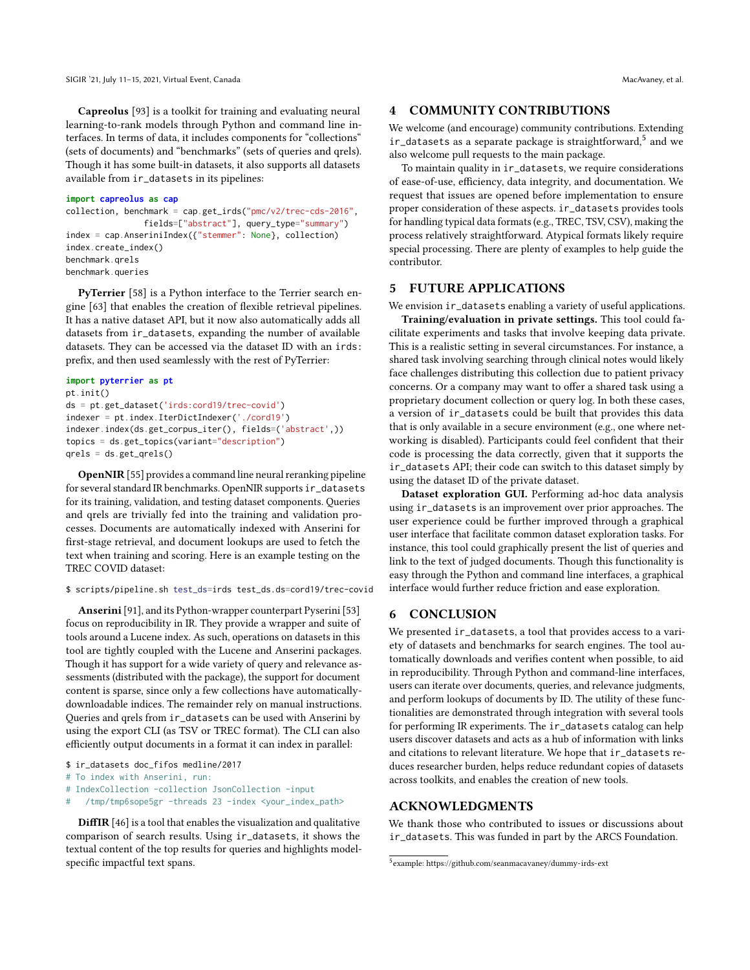Capreolus [\[93\]](#page-7-2) is a toolkit for training and evaluating neural learning-to-rank models through Python and command line interfaces. In terms of data, it includes components for "collections" (sets of documents) and "benchmarks" (sets of queries and qrels). Though it has some built-in datasets, it also supports all datasets available from ir\_datasets in its pipelines:

```
import capreolus as cap
collection, benchmark = cap.get_irds("pmc/v2/trec-cds-2016",
                fields=["abstract"], query_type="summary")
index = cap.AnseriniIndex({"stemmer": None}, collection)
index.create_index()
benchmark.qrels
benchmark.queries
```
PyTerrier [\[58\]](#page-6-0) is a Python interface to the Terrier search engine [\[63\]](#page-7-31) that enables the creation of flexible retrieval pipelines. It has a native dataset API, but it now also automatically adds all datasets from ir\_datasets, expanding the number of available datasets. They can be accessed via the dataset ID with an irds: prefix, and then used seamlessly with the rest of PyTerrier:

```
import pyterrier as pt
```

```
pt.init()
ds = pt.get_dataset('irds:cord19/trec-covid')
indexer = pt.index.IterDictIndexer('./cord19')
indexer.index(ds.get_corpus_iter(), fields=('abstract',))
topics = ds.get_topics(variant="description")
qrels = ds.get_qrels()
```
OpenNIR [\[55\]](#page-6-1) provides a command line neural reranking pipeline for several standard IR benchmarks. OpenNIR supports ir\_datasets for its training, validation, and testing dataset components. Queries and qrels are trivially fed into the training and validation processes. Documents are automatically indexed with Anserini for first-stage retrieval, and document lookups are used to fetch the text when training and scoring. Here is an example testing on the TREC COVID dataset:

#### \$ scripts/pipeline.sh test\_ds=irds test\_ds.ds=cord19/trec-covid

Anserini [\[91\]](#page-7-3), and its Python-wrapper counterpart Pyserini [\[53\]](#page-6-2) focus on reproducibility in IR. They provide a wrapper and suite of tools around a Lucene index. As such, operations on datasets in this tool are tightly coupled with the Lucene and Anserini packages. Though it has support for a wide variety of query and relevance assessments (distributed with the package), the support for document content is sparse, since only a few collections have automaticallydownloadable indices. The remainder rely on manual instructions. Queries and qrels from ir\_datasets can be used with Anserini by using the export CLI (as TSV or TREC format). The CLI can also efficiently output documents in a format it can index in parallel:

```
$ ir_datasets doc_fifos medline/2017
```

```
# To index with Anserini, run:
```
# IndexCollection -collection JsonCollection -input

```
/tmp/tmp6sope5gr -threads 23 -index <your_index_path>
```
DiffIR [\[46\]](#page-6-55) is a tool that enables the visualization and qualitative comparison of search results. Using ir\_datasets, it shows the textual content of the top results for queries and highlights modelspecific impactful text spans.

## 4 COMMUNITY CONTRIBUTIONS

We welcome (and encourage) community contributions. Extending ir\_datasets as a separate package is straightforward,<sup>[5](#page-5-0)</sup> and we also welcome pull requests to the main package.

To maintain quality in ir\_datasets, we require considerations of ease-of-use, efficiency, data integrity, and documentation. We request that issues are opened before implementation to ensure proper consideration of these aspects. ir\_datasets provides tools for handling typical data formats (e.g., TREC, TSV, CSV), making the process relatively straightforward. Atypical formats likely require special processing. There are plenty of examples to help guide the contributor.

# 5 FUTURE APPLICATIONS

We envision  $ir\_datasets$  enabling a variety of useful applications. Training/evaluation in private settings. This tool could facilitate experiments and tasks that involve keeping data private. This is a realistic setting in several circumstances. For instance, a shared task involving searching through clinical notes would likely face challenges distributing this collection due to patient privacy concerns. Or a company may want to offer a shared task using a proprietary document collection or query log. In both these cases, a version of ir\_datasets could be built that provides this data that is only available in a secure environment (e.g., one where networking is disabled). Participants could feel confident that their code is processing the data correctly, given that it supports the ir\_datasets API; their code can switch to this dataset simply by using the dataset ID of the private dataset.

Dataset exploration GUI. Performing ad-hoc data analysis using ir\_datasets is an improvement over prior approaches. The user experience could be further improved through a graphical user interface that facilitate common dataset exploration tasks. For instance, this tool could graphically present the list of queries and link to the text of judged documents. Though this functionality is easy through the Python and command line interfaces, a graphical interface would further reduce friction and ease exploration.

### 6 CONCLUSION

We presented ir\_datasets, a tool that provides access to a variety of datasets and benchmarks for search engines. The tool automatically downloads and verifies content when possible, to aid in reproducibility. Through Python and command-line interfaces, users can iterate over documents, queries, and relevance judgments, and perform lookups of documents by ID. The utility of these functionalities are demonstrated through integration with several tools for performing IR experiments. The ir\_datasets catalog can help users discover datasets and acts as a hub of information with links and citations to relevant literature. We hope that ir\_datasets reduces researcher burden, helps reduce redundant copies of datasets across toolkits, and enables the creation of new tools.

### ACKNOWLEDGMENTS

We thank those who contributed to issues or discussions about ir\_datasets. This was funded in part by the ARCS Foundation.

<span id="page-5-0"></span><sup>5</sup> example:<https://github.com/seanmacavaney/dummy-irds-ext>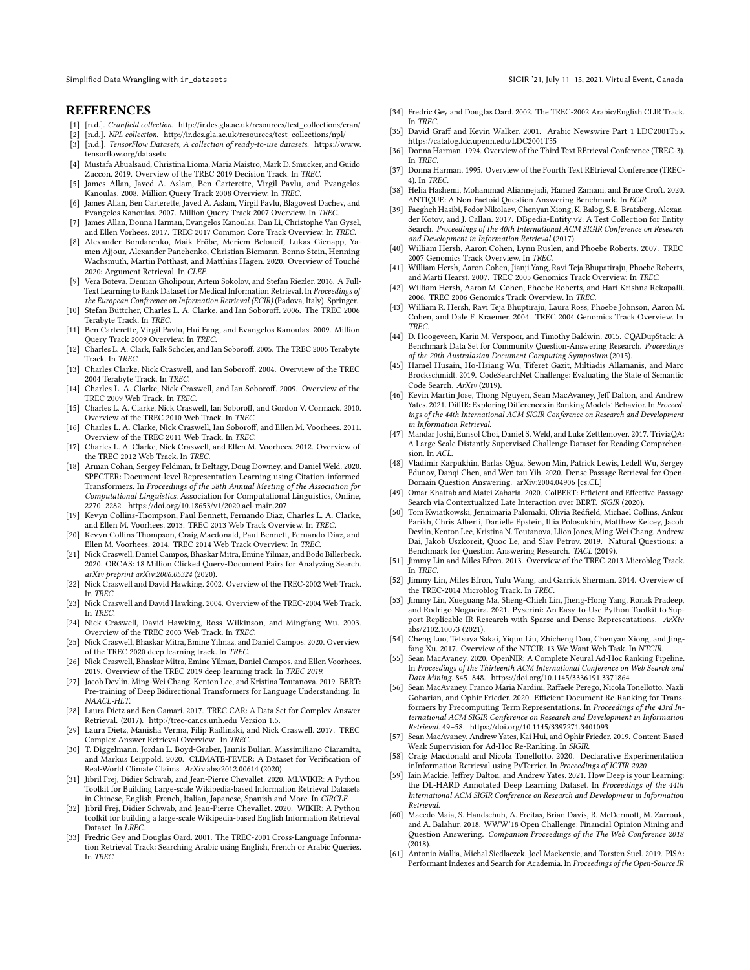Simplified Data Wrangling with ir\_datasets SIGIR '21, July 11–15, 2021, Virtual Event, Canada

### **REFERENCES**

- <span id="page-6-19"></span>[1] [n.d.]. Cranfield collection. [http://ir.dcs.gla.ac.uk/resources/test\\_collections/cran/](http://ir.dcs.gla.ac.uk/resources/test_collections/cran/)
- <span id="page-6-24"></span><span id="page-6-3"></span>[2] [n.d.]. NPL collection. [http://ir.dcs.gla.ac.uk/resources/test\\_collections/npl/](http://ir.dcs.gla.ac.uk/resources/test_collections/npl/) [3] [n.d.]. TensorFlow Datasets, A collection of ready-to-use datasets. [https://www.](https://www.tensorflow.org/datasets)
- <span id="page-6-23"></span>[tensorflow.org/datasets](https://www.tensorflow.org/datasets) [4] Mustafa Abualsaud, Christina Lioma, Maria Maistro, Mark D. Smucker, and Guido
- Zuccon. 2019. Overview of the TREC 2019 Decision Track. In TREC.
- <span id="page-6-27"></span>[5] James Allan, Javed A. Aslam, Ben Carterette, Virgil Pavlu, and Evangelos Kanoulas. 2008. Million Query Track 2008 Overview. In TREC.
- <span id="page-6-28"></span>[6] James Allan, Ben Carterette, Javed A. Aslam, Virgil Pavlu, Blagovest Dachev, and Evangelos Kanoulas. 2007. Million Query Track 2007 Overview. In TREC.
- <span id="page-6-7"></span>[7] James Allan, Donna Harman, Evangelos Kanoulas, Dan Li, Christophe Van Gysel, and Ellen Vorhees. 2017. TREC 2017 Common Core Track Overview. In TREC.
- <span id="page-6-39"></span>[8] Alexander Bondarenko, Maik Fröbe, Meriem Beloucif, Lukas Gienapp, Yamen Ajjour, Alexander Panchenko, Christian Biemann, Benno Stein, Henning Wachsmuth, Martin Potthast, and Matthias Hagen. 2020. Overview of Touché 2020: Argument Retrieval. In CLEF.
- <span id="page-6-20"></span>[9] Vera Boteva, Demian Gholipour, Artem Sokolov, and Stefan Riezler. 2016. A Full-Text Learning to Rank Dataset for Medical Information Retrieval. In Proceedings of the European Conference on Information Retrieval (ECIR) (Padova, Italy). Springer.
- <span id="page-6-30"></span>[10] Stefan Büttcher, Charles L. A. Clarke, and Ian Soboroff. 2006. The TREC 2006 Terabyte Track. In TREC.
- <span id="page-6-29"></span>[11] Ben Carterette, Virgil Pavlu, Hui Fang, and Evangelos Kanoulas. 2009. Million Query Track 2009 Overview. In TREC.
- <span id="page-6-31"></span>[12] Charles L. A. Clark, Falk Scholer, and Ian Soboroff. 2005. The TREC 2005 Terabyte Track. In TREC.
- <span id="page-6-32"></span>[13] Charles Clarke, Nick Craswell, and Ian Soboroff. 2004. Overview of the TREC 2004 Terabyte Track. In TREC.
- <span id="page-6-33"></span>[14] Charles L. A. Clarke, Nick Craswell, and Ian Soboroff. 2009. Overview of the TREC 2009 Web Track. In TREC.
- [15] Charles L. A. Clarke, Nick Craswell, Ian Soboroff, and Gordon V. Cormack. 2010. Overview of the TREC 2010 Web Track. In TREC.
- [16] Charles L. A. Clarke, Nick Craswell, Ian Soboroff, and Ellen M. Voorhees. 2011. Overview of the TREC 2011 Web Track. In TREC.
- <span id="page-6-34"></span>[17] Charles L. A. Clarke, Nick Craswell, and Ellen M. Voorhees. 2012. Overview of the TREC 2012 Web Track. In TREC.
- <span id="page-6-40"></span>[18] Arman Cohan, Sergey Feldman, Iz Beltagy, Doug Downey, and Daniel Weld. 2020. SPECTER: Document-level Representation Learning using Citation-informed Transformers. In Proceedings of the 58th Annual Meeting of the Association for Computational Linguistics. Association for Computational Linguistics, Online, 2270–2282.<https://doi.org/10.18653/v1/2020.acl-main.207>
- <span id="page-6-35"></span>[19] Kevyn Collins-Thompson, Paul Bennett, Fernando Diaz, Charles L. A. Clarke, and Ellen M. Voorhees. 2013. TREC 2013 Web Track Overview. In TREC.
- <span id="page-6-36"></span>[20] Kevyn Collins-Thompson, Craig Macdonald, Paul Bennett, Fernando Diaz, and Ellen M. Voorhees. 2014. TREC 2014 Web Track Overview. In TREC.
- <span id="page-6-26"></span>[21] Nick Craswell, Daniel Campos, Bhaskar Mitra, Emine Yilmaz, and Bodo Billerbeck. 2020. ORCAS: 18 Million Clicked Query-Document Pairs for Analyzing Search. arXiv preprint arXiv:2006.05324 (2020).
- <span id="page-6-37"></span>[22] Nick Craswell and David Hawking. 2002. Overview of the TREC-2002 Web Track. In TREC.
- [23] Nick Craswell and David Hawking. 2004. Overview of the TREC-2004 Web Track. In TREC.
- <span id="page-6-38"></span>[24] Nick Craswell, David Hawking, Ross Wilkinson, and Mingfang Wu. 2003. Overview of the TREC 2003 Web Track. In TREC.
- <span id="page-6-15"></span>[25] Nick Craswell, Bhaskar Mitra, Emine Yilmaz, and Daniel Campos. 2020. Overview of the TREC 2020 deep learning track. In TREC.
- <span id="page-6-16"></span>[26] Nick Craswell, Bhaskar Mitra, Emine Yilmaz, Daniel Campos, and Ellen Voorhees. 2019. Overview of the TREC 2019 deep learning track. In TREC 2019.
- <span id="page-6-50"></span>[27] Jacob Devlin, Ming-Wei Chang, Kenton Lee, and Kristina Toutanova. 2019. BERT: Pre-training of Deep Bidirectional Transformers for Language Understanding. In NAACL-HLT.
- <span id="page-6-13"></span>[28] Laura Dietz and Ben Gamari. 2017. TREC CAR: A Data Set for Complex Answer Retrieval. (2017).<http://trec-car.cs.unh.edu> Version 1.5.
- <span id="page-6-14"></span>[29] Laura Dietz, Manisha Verma, Filip Radlinski, and Nick Craswell. 2017. TREC Complex Answer Retrieval Overview.. In TREC.
- <span id="page-6-41"></span>[30] T. Diggelmann, Jordan L. Boyd-Graber, Jannis Bulian, Massimiliano Ciaramita, and Markus Leippold. 2020. CLIMATE-FEVER: A Dataset for Verification of Real-World Climate Claims. ArXiv abs/2012.00614 (2020).
- <span id="page-6-48"></span>[31] Jibril Frej, Didier Schwab, and Jean-Pierre Chevallet. 2020. MLWIKIR: A Python Toolkit for Building Large-scale Wikipedia-based Information Retrieval Datasets in Chinese, English, French, Italian, Japanese, Spanish and More. In CIRCLE.
- <span id="page-6-49"></span>[32] Jibril Frej, Didier Schwab, and Jean-Pierre Chevallet. 2020. WIKIR: A Python toolkit for building a large-scale Wikipedia-based English Information Retrieval Dataset. In LREC.
- <span id="page-6-5"></span>[33] Fredric Gey and Douglas Oard. 2001. The TREC-2001 Cross-Language Information Retrieval Track: Searching Arabic using English, French or Arabic Queries. In TREC.
- <span id="page-6-51"></span>[34] Fredric Gey and Douglas Oard. 2002. The TREC-2002 Arabic/English CLIR Track. In TREC.
- <span id="page-6-6"></span>[35] David Graff and Kevin Walker. 2001. Arabic Newswire Part 1 LDC2001T55. <https://catalog.ldc.upenn.edu/LDC2001T55>
- <span id="page-6-8"></span>[36] Donna Harman. 1994. Overview of the Third Text REtrieval Conference (TREC-3). In TREC.
- <span id="page-6-9"></span>[37] Donna Harman. 1995. Overview of the Fourth Text REtrieval Conference (TREC-4). In TREC.
- <span id="page-6-10"></span>[38] Helia Hashemi, Mohammad Aliannejadi, Hamed Zamani, and Bruce Croft. 2020. ANTIQUE: A Non-Factoid Question Answering Benchmark. In ECIR.
- <span id="page-6-42"></span>[39] Faegheh Hasibi, Fedor Nikolaev, Chenyan Xiong, K. Balog, S. E. Bratsberg, Alexander Kotov, and J. Callan. 2017. DBpedia-Entity v2: A Test Collection for Entity Search. Proceedings of the 40th International ACM SIGIR Conference on Research and Development in Information Retrieval (2017).
- <span id="page-6-21"></span>[40] William Hersh, Aaron Cohen, Lynn Ruslen, and Phoebe Roberts. 2007. TREC 2007 Genomics Track Overview. In TREC.
- [41] William Hersh, Aaron Cohen, Jianji Yang, Ravi Teja Bhupatiraju, Phoebe Roberts, and Marti Hearst. 2007. TREC 2005 Genomics Track Overview. In TREC.
- [42] William Hersh, Aaron M. Cohen, Phoebe Roberts, and Hari Krishna Rekapalli. 2006. TREC 2006 Genomics Track Overview. In TREC.
- <span id="page-6-22"></span>[43] William R. Hersh, Ravi Teja Bhuptiraju, Laura Ross, Phoebe Johnson, Aaron M. Cohen, and Dale F. Kraemer. 2004. TREC 2004 Genomics Track Overview. In TREC.
- <span id="page-6-43"></span>[44] D. Hoogeveen, Karin M. Verspoor, and Timothy Baldwin. 2015. CQADupStack: A Benchmark Data Set for Community Question-Answering Research. Proceedings of the 20th Australasian Document Computing Symposium (2015).
- <span id="page-6-45"></span>[45] Hamel Husain, Ho-Hsiang Wu, Tiferet Gazit, Miltiadis Allamanis, and Marc Brockschmidt. 2019. CodeSearchNet Challenge: Evaluating the State of Semantic Code Search. ArXiv (2019).
- <span id="page-6-55"></span>[46] Kevin Martin Jose, Thong Nguyen, Sean MacAvaney, Jeff Dalton, and Andrew Yates. 2021. DiffIR: Exploring Differences in Ranking Models' Behavior. In Proceedings of the 44th International ACM SIGIR Conference on Research and Development in Information Retrieval.
- <span id="page-6-18"></span>[47] Mandar Joshi, Eunsol Choi, Daniel S. Weld, and Luke Zettlemoyer. 2017. TriviaQA: A Large Scale Distantly Supervised Challenge Dataset for Reading Comprehension. In ACL.
- <span id="page-6-11"></span>[48] Vladimir Karpukhin, Barlas Oğuz, Sewon Min, Patrick Lewis, Ledell Wu, Sergey Edunov, Danqi Chen, and Wen tau Yih. 2020. Dense Passage Retrieval for Open-Domain Question Answering. arXiv[:2004.04906](https://arxiv.org/abs/2004.04906) [cs.CL]
- <span id="page-6-53"></span>[49] Omar Khattab and Matei Zaharia. 2020. ColBERT: Efficient and Effective Passage Search via Contextualized Late Interaction over BERT. SIGIR (2020).
- <span id="page-6-12"></span>[50] Tom Kwiatkowski, Jennimaria Palomaki, Olivia Redfield, Michael Collins, Ankur Parikh, Chris Alberti, Danielle Epstein, Illia Polosukhin, Matthew Kelcey, Jacob Devlin, Kenton Lee, Kristina N. Toutanova, Llion Jones, Ming-Wei Chang, Andrew Dai, Jakob Uszkoreit, Quoc Le, and Slav Petrov. 2019. Natural Questions: a Benchmark for Question Answering Research. TACL (2019).
- <span id="page-6-46"></span>[51] Jimmy Lin and Miles Efron. 2013. Overview of the TREC-2013 Microblog Track. In TREC.
- <span id="page-6-47"></span>[52] Jimmy Lin, Miles Efron, Yulu Wang, and Garrick Sherman. 2014. Overview of the TREC-2014 Microblog Track. In TREC.
- <span id="page-6-2"></span>[53] Jimmy Lin, Xueguang Ma, Sheng-Chieh Lin, Jheng-Hong Yang, Ronak Pradeep, and Rodrigo Nogueira. 2021. Pyserini: An Easy-to-Use Python Toolkit to Support Replicable IR Research with Sparse and Dense Representations. ArXiv abs/2102.10073 (2021).
- <span id="page-6-25"></span>[54] Cheng Luo, Tetsuya Sakai, Yiqun Liu, Zhicheng Dou, Chenyan Xiong, and Jingfang Xu. 2017. Overview of the NTCIR-13 We Want Web Task. In NTCIR.
- <span id="page-6-1"></span>[55] Sean MacAvaney. 2020. OpenNIR: A Complete Neural Ad-Hoc Ranking Pipeline. In Proceedings of the Thirteenth ACM International Conference on Web Search and Data Mining. 845–848.<https://doi.org/10.1145/3336191.3371864>
- <span id="page-6-52"></span>[56] Sean MacAvaney, Franco Maria Nardini, Raffaele Perego, Nicola Tonellotto, Nazli Goharian, and Ophir Frieder. 2020. Efficient Document Re-Ranking for Transformers by Precomputing Term Representations. In Proceedings of the 43rd International ACM SIGIR Conference on Research and Development in Information Retrieval. 49–58.<https://doi.org/10.1145/3397271.3401093>
- <span id="page-6-4"></span>[57] Sean MacAvaney, Andrew Yates, Kai Hui, and Ophir Frieder. 2019. Content-Based Weak Supervision for Ad-Hoc Re-Ranking. In SIGIR.
- <span id="page-6-0"></span>[58] Craig Macdonald and Nicola Tonellotto. 2020. Declarative Experimentation inInformation Retrieval using PyTerrier. In Proceedings of ICTIR 2020.
- <span id="page-6-17"></span>[59] Iain Mackie, Jeffrey Dalton, and Andrew Yates. 2021. How Deep is your Learning: the DL-HARD Annotated Deep Learning Dataset. In Proceedings of the 44th International ACM SIGIR Conference on Research and Development in Information Retrieval.
- <span id="page-6-44"></span>[60] Macedo Maia, S. Handschuh, A. Freitas, Brian Davis, R. McDermott, M. Zarrouk, and A. Balahur. 2018. WWW'18 Open Challenge: Financial Opinion Mining and Question Answering. Companion Proceedings of the The Web Conference 2018 (2018).
- <span id="page-6-54"></span>[61] Antonio Mallia, Michal Siedlaczek, Joel Mackenzie, and Torsten Suel. 2019. PISA: Performant Indexes and Search for Academia. In Proceedings of the Open-Source IR